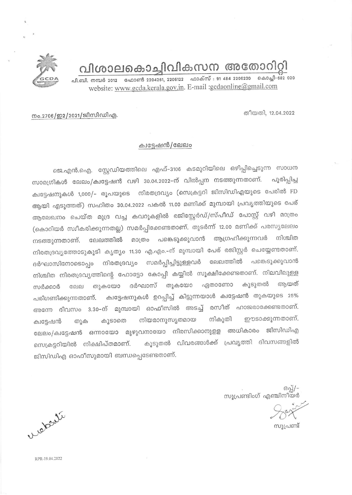വിശാലകൊച്ചിവികസന അതോറിറി



തീയതി, 12.04.2022

നം.2706/ഇ2/2021/ജിസിഡിഎ.

## ക്വട്ടേഷൻ/ലേലം

ജെ.എൻ.ഐ. സ്റ്റേഡിയത്തിലെ എഫ്–3106 കടമുറിയിലെ ഒഴിപ്പിച്ചെടുന്ന സാധന സാമഗ്രികൾ ലേലം/ക്വട്ടേഷൻ വഴി 30.04.2022-ന് വിൽപ്പന നടത്തുന്നതാണ്. പുരിപ്പിച്ച ക്വട്ടേഷനുകൾ 1,000/- രൂപയുടെ നിരതദ്രവ്യം (സെക്രട്ടറി ജിസിഡിഎയുടെ പേരിൽ FD ആയി എടുത്തത്) സഹിതം 30.04.2022 പകൽ 11.00 മണിക്ക് മുമ്പായി പ്രവൃത്തിയുടെ പേര് ആലേഖനം ചെയ്ത മുദ്ര വച്ച കവറുകളിൽ രജിസ്റ്റേർഡ്/സ്പീഡ് പോസ്റ്റ് വഴി മാത്രം (കൊറിയർ സ്വീകരിക്കുന്നതല്ല) സമർപ്പിക്കേണ്ടതാണ്. തുടർന്ന് 12.00 മണിക്ക് പരസൃലേലം പങ്കെടുക്കുവാൻ ആഗ്രഹിക്കുന്നവർ നിശ്ചിത ലേലത്തിൽ മാത്രം നടത്തുന്നതാണ്. നിരതദ്രവ്യത്തോടുകൂടി കൃത്യം 11.30 എ.എം.–ന് മുമ്പായി പേര് രജിസ്റ്റർ ചെയ്യേണ്ടതാണ്. ദർഘാസിനോടൊപ്പം നിരതദ്രവ്യം സമർപ്പിച്ചിട്ടുള്ളവർ ലേലത്തിൽ പങ്കെടുക്കുവാൻ നിശ്ചിത നിരതദ്രവ്യത്തിന്റെ ഫോട്ടോ കോപ്പി കയ്യിൽ സൂക്ഷിക്കേണ്ടതാണ്. നിലവിലുള്ള ദർഘാസ് തുകയോ ഏതാണോ കൂടുതൽ അയത് തുകയോ **GEIPI** സർക്കാർ ക്വട്ടേഷനുകൾ ഉറപ്പിച്ച് കിട്ടുന്നയാൾ ക്വട്ടേഷൻ തുകയുടെ 25% പരിഗണിക്കുന്നതാണ്. അന്നേ ദിവസം 3.30–ന് മുമ്പായി ഓഫീസിൽ അടച്ച് രസീത് ഹാജരാക്കേണ്ടതാണ്. നിയമാനുസ്യതമായ നികൂതി ഈടാക്കുന്നതാണ്. കൂടാതെ തുക ക്വട്ടേഷൻ ലേലം/ക്വട്ടേഷൻ ഒന്നായോ മുഴുവനായോ നിരസിക്കാനുളള അധികാരം ജിസിഡിഎ കൂടുതൽ വിവരങ്ങൾക്ക് പ്രവൃത്തി ദിവസങ്ങളിൽ സെക്രട്ടറിയിൽ നിക്ഷിപ്തമാണ്. ജിസിഡിഎ ഓഫീസുമായി ബന്ധപ്പെടേണ്ടതാണ്.

> $B_2$ സൂപ്രണ്ടിംഗ് എഞ്ചിനീയർ

സുപ്രണ്ട്

leterte

RPR-19.04.2022